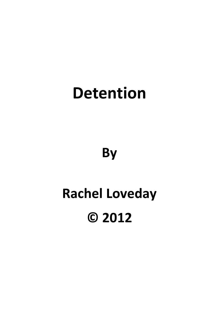## **Detention**

**By**

# **Rachel Loveday © 2012**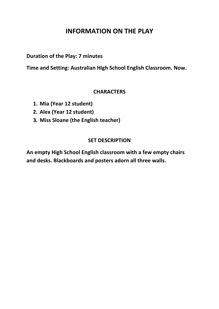### **INFORMATION ON THE PLAY**

**Duration of the Play: 7 minutes**

**Time and Setting: Australian High School English Classroom. Now.**

#### **CHARACTERS**

- **1. Mia (Year 12 student)**
- **2. Alex (Year 12 student)**
- **3. Miss Sloane (the English teacher)**

#### **SET DESCRIPTION**

**An empty High School English classroom with a few empty chairs and desks. Blackboards and posters adorn all three walls.**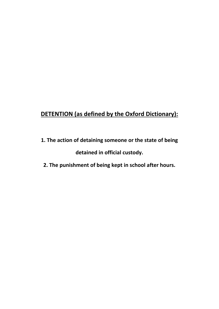## **DETENTION (as defined by the Oxford Dictionary):**

- **1. The action of detaining someone or the state of being detained in official custody.**
- **2. The punishment of being kept in school after hours.**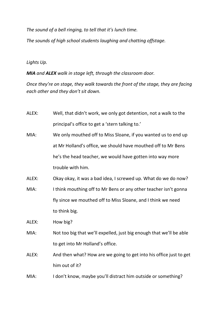*The sound of a bell ringing, to tell that it's lunch time.*

*The sounds of high school students laughing and chatting offstage.*

#### *Lights Up.*

*MIA and ALEX walk in stage left, through the classroom door.* 

*Once they're on stage, they walk towards the front of the stage, they are facing each other and they don't sit down.*

| ALEX: | Well, that didn't work, we only got detention, not a walk to the |
|-------|------------------------------------------------------------------|
|       | principal's office to get a 'stern talking to.'                  |

- MIA: We only mouthed off to Miss Sloane, if you wanted us to end up at Mr Holland's office, we should have mouthed off to Mr Bens he's the head teacher, we would have gotten into way more trouble with him.
- ALEX: Okay okay, it was a bad idea, I screwed up. What do we do now?
- MIA: I think mouthing off to Mr Bens or any other teacher isn't gonna fly since we mouthed off to Miss Sloane, and I think we need to think big.

ALEX: How big?

- MIA: Not too big that we'll expelled, just big enough that we'll be able to get into Mr Holland's office.
- ALEX: And then what? How are we going to get into his office just to get him out of it?
- MIA: I don't know, maybe you'll distract him outside or something?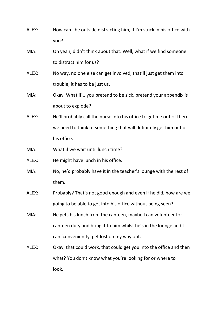- ALEX: How can I be outside distracting him, if I'm stuck in his office with you?
- MIA: Oh yeah, didn't think about that. Well, what if we find someone to distract him for us?
- ALEX: No way, no one else can get involved, that'll just get them into trouble, it has to be just us.
- MIA: Okay. What if....you pretend to be sick, pretend your appendix is about to explode?
- ALEX: He'll probably call the nurse into his office to get me out of there. we need to think of something that will definitely get him out of his office.
- MIA: What if we wait until lunch time?
- ALEX: He might have lunch in his office.
- MIA: No, he'd probably have it in the teacher's lounge with the rest of them.
- ALEX: Probably? That's not good enough and even if he did, how are we going to be able to get into his office without being seen?
- MIA: He gets his lunch from the canteen, maybe I can volunteer for canteen duty and bring it to him whilst he's in the lounge and I can 'conveniently' get lost on my way out.
- ALEX: Okay, that could work, that could get you into the office and then what? You don't know what you're looking for or where to look.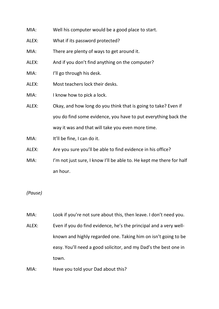| MIA:  | Well his computer would be a good place to start.                    |
|-------|----------------------------------------------------------------------|
| ALEX: | What if its password protected?                                      |
| MIA:  | There are plenty of ways to get around it.                           |
| ALEX: | And if you don't find anything on the computer?                      |
| MIA:  | I'll go through his desk.                                            |
| ALEX: | Most teachers lock their desks.                                      |
| MIA:  | I know how to pick a lock.                                           |
| ALEX: | Okay, and how long do you think that is going to take? Even if       |
|       | you do find some evidence, you have to put everything back the       |
|       | way it was and that will take you even more time.                    |
| MIA:  | It'll be fine, I can do it.                                          |
| ALEX: | Are you sure you'll be able to find evidence in his office?          |
| MIA:  | I'm not just sure, I know I'll be able to. He kept me there for half |
|       | an hour.                                                             |
|       |                                                                      |

#### *(Pause)*

MIA: Look if you're not sure about this, then leave. I don't need you.

ALEX: Even if you do find evidence, he's the principal and a very wellknown and highly regarded one. Taking him on isn't going to be easy. You'll need a good solicitor, and my Dad's the best one in town.

MIA: Have you told your Dad about this?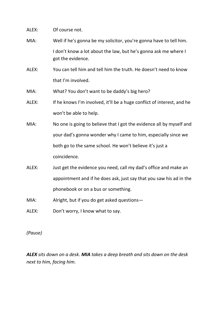ALEX: Of course not.

- MIA: Well if he's gonna be my solicitor, you're gonna have to tell him. I don't know a lot about the law, but he's gonna ask me where I got the evidence.
- ALEX: You can tell him and tell him the truth. He doesn't need to know that I'm involved.
- MIA: What? You don't want to be daddy's big hero?
- ALEX: If he knows I'm involved, it'll be a huge conflict of interest, and he won't be able to help.
- MIA: No one is going to believe that I got the evidence all by myself and your dad's gonna wonder why I came to him, especially since we both go to the same school. He won't believe it's just a coincidence.
- ALEX: Just get the evidence you need, call my dad's office and make an appointment and if he does ask, just say that you saw his ad in the phonebook or on a bus or something.
- MIA: Alright, but if you do get asked questions—
- ALEX: Don't worry, I know what to say.

*(Pause)*

*ALEX sits down on a desk. MIA takes a deep breath and sits down on the desk next to him, facing him.*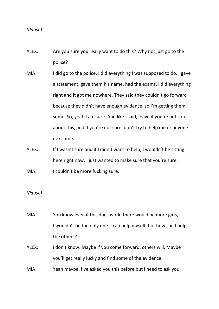*(Pause)*

- ALEX: Are you sure you really want to do this? Why not just go to the police?
- MIA: I did go to the police. I did everything I was supposed to do. I gave a statement, gave them his name, had the exams, I did everything right and it got me nowhere. They said they couldn't go forward because they didn't have enough evidence, so I'm getting them some. So, yeah I am sure. And like I said, leave if you're not sure about this, and if you're not sure, don't try to help me or anyone next time.
- ALEX: If I wasn't sure and if I didn't want to help, I wouldn't be sitting here right now. I just wanted to make sure that you're sure.

MIA: I couldn't be more fucking sure.

*(Pause)*

- MIA: You know even if this does work, there would be more girls, I wouldn't be the only one. I can help myself, but how can I help the others?
- ALEX: I don't know. Maybe if you come forward, others will. Maybe you'll get really lucky and find some of the evidence.
- MIA: Yeah maybe. I've asked you this before but I need to ask you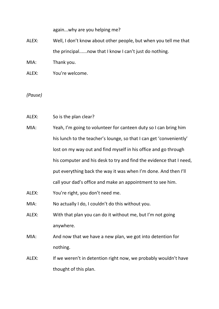again...why are you helping me?

- ALEX: Well, I don't know about other people, but when you tell me that the principal......now that I know I can't just do nothing.
- MIA: Thank you.
- ALEX: You're welcome.

*(Pause)*

- ALEX: So is the plan clear?
- MIA: Yeah, I'm going to volunteer for canteen duty so I can bring him his lunch to the teacher's lounge, so that I can get 'conveniently' lost on my way out and find myself in his office and go through his computer and his desk to try and find the evidence that I need, put everything back the way it was when I'm done. And then I'll call your dad's office and make an appointment to see him.
- ALEX: You're right, you don't need me.
- MIA: No actually I do, I couldn't do this without you.
- ALEX: With that plan you can do it without me, but I'm not going anywhere.
- MIA: And now that we have a new plan, we got into detention for nothing.
- ALEX: If we weren't in detention right now, we probably wouldn't have thought of this plan.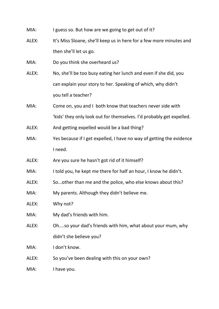| MIA: |  | I guess so. But how are we going to get out of it? |
|------|--|----------------------------------------------------|
|------|--|----------------------------------------------------|

- ALEX: It's Miss Sloane, she'll keep us in here for a few more minutes and then she'll let us go.
- MIA: Do you think she overheard us?
- ALEX: No, she'll be too busy eating her lunch and even if she did, you can explain your story to her. Speaking of which, why didn't you tell a teacher?
- MIA: Come on, you and I both know that teachers never side with 'kids' they only look out for themselves. I'd probably get expelled.
- ALEX: And getting expelled would be a bad thing?
- MIA: Yes because if I get expelled, I have no way of getting the evidence I need.
- ALEX: Are you sure he hasn't got rid of it himself?
- MIA: I told you, he kept me there for half an hour, I know he didn't.
- ALEX: So...other than me and the police, who else knows about this?
- MIA: My parents. Although they didn't believe me.
- ALEX: Why not?
- MIA: My dad's friends with him.
- ALEX: Oh....so your dad's friends with him, what about your mum, why didn't she believe you?
- MIA: I don't know.
- ALEX: So you've been dealing with this on your own?
- MIA: I have you.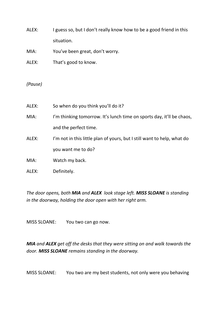ALEX: I guess so, but I don't really know how to be a good friend in this situation.

MIA: You've been great, don't worry.

ALEX: That's good to know.

*(Pause)*

| ALEX: | So when do you think you'll do it?                                      |
|-------|-------------------------------------------------------------------------|
| MIA:  | I'm thinking tomorrow. It's lunch time on sports day, it'll be chaos,   |
|       | and the perfect time.                                                   |
| ALEX: | I'm not in this little plan of yours, but I still want to help, what do |
|       | you want me to do?                                                      |
| MIA:  | Watch my back.                                                          |
| ALEX: | Definitely.                                                             |

*The door opens, both MIA and ALEX look stage left. MISS SLOANE is standing in the doorway, holding the door open with her right arm.*

MISS SLOANE: You two can go now.

*MIA and ALEX get off the desks that they were sitting on and walk towards the door. MISS SLOANE remains standing in the doorway.*

MISS SLOANE: You two are my best students, not only were you behaving